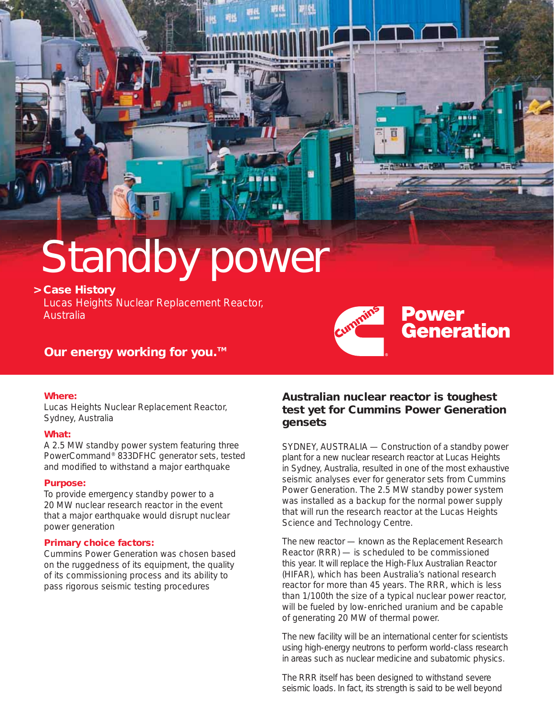# Standby power

## **> Case History**

Lucas Heights Nuclear Replacement Reactor, Australia



# **Our energy working for you.**™

## **Where:**

Lucas Heights Nuclear Replacement Reactor, Sydney, Australia

## **What:**

A 2.5 MW standby power system featuring three PowerCommand® 833DFHC generator sets, tested and modified to withstand a major earthquake

## **Purpose:**

To provide emergency standby power to a 20 MW nuclear research reactor in the event that a major earthquake would disrupt nuclear power generation

## **Primary choice factors:**

Cummins Power Generation was chosen based on the ruggedness of its equipment, the quality of its commissioning process and its ability to pass rigorous seismic testing procedures

## **Australian nuclear reactor is toughest test yet for Cummins Power Generation gensets**

SYDNEY, AUSTRALIA — Construction of a standby power plant for a new nuclear research reactor at Lucas Heights in Sydney, Australia, resulted in one of the most exhaustive seismic analyses ever for generator sets from Cummins Power Generation. The 2.5 MW standby power system was installed as a backup for the normal power supply that will run the research reactor at the Lucas Heights Science and Technology Centre.

The new reactor — known as the Replacement Research Reactor (RRR) — is scheduled to be commissioned this year. It will replace the High-Flux Australian Reactor (HIFAR), which has been Australia's national research reactor for more than 45 years. The RRR, which is less than 1/100th the size of a typical nuclear power reactor, will be fueled by low-enriched uranium and be capable of generating 20 MW of thermal power.

The new facility will be an international center for scientists using high-energy neutrons to perform world-class research in areas such as nuclear medicine and subatomic physics.

The RRR itself has been designed to withstand severe seismic loads. In fact, its strength is said to be well beyond